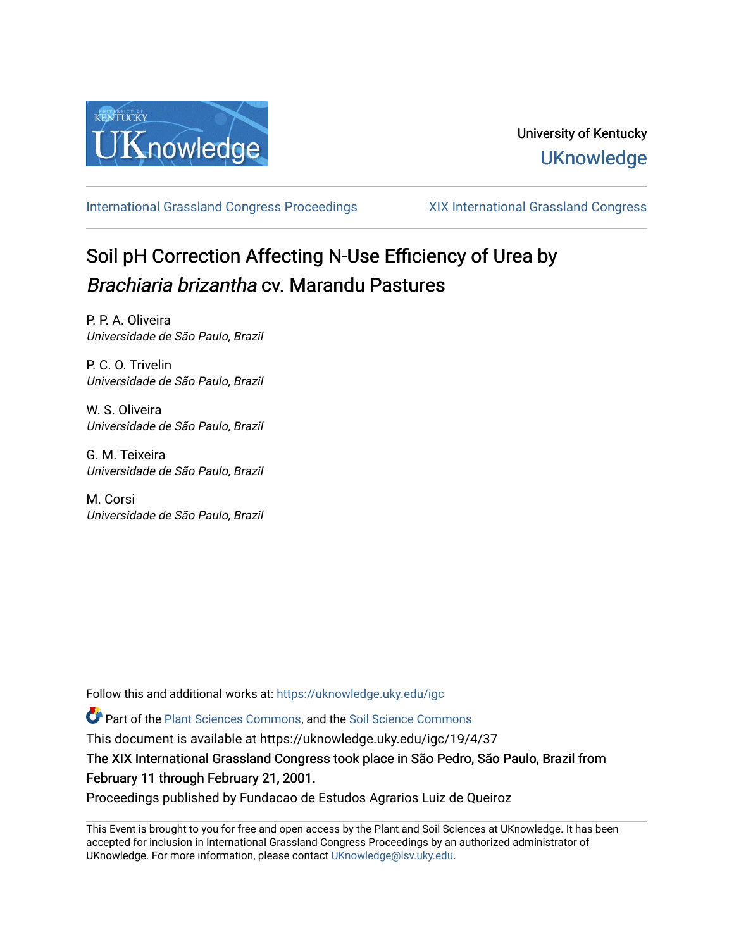

# University of Kentucky **UKnowledge**

[International Grassland Congress Proceedings](https://uknowledge.uky.edu/igc) [XIX International Grassland Congress](https://uknowledge.uky.edu/igc/19) 

# Soil pH Correction Affecting N-Use Efficiency of Urea by Brachiaria brizantha cv. Marandu Pastures

P. P. A. Oliveira Universidade de São Paulo, Brazil

P. C. O. Trivelin Universidade de São Paulo, Brazil

W. S. Oliveira Universidade de São Paulo, Brazil

G. M. Teixeira Universidade de São Paulo, Brazil

M. Corsi Universidade de São Paulo, Brazil

Follow this and additional works at: [https://uknowledge.uky.edu/igc](https://uknowledge.uky.edu/igc?utm_source=uknowledge.uky.edu%2Figc%2F19%2F4%2F37&utm_medium=PDF&utm_campaign=PDFCoverPages) 

Part of the [Plant Sciences Commons](http://network.bepress.com/hgg/discipline/102?utm_source=uknowledge.uky.edu%2Figc%2F19%2F4%2F37&utm_medium=PDF&utm_campaign=PDFCoverPages), and the [Soil Science Commons](http://network.bepress.com/hgg/discipline/163?utm_source=uknowledge.uky.edu%2Figc%2F19%2F4%2F37&utm_medium=PDF&utm_campaign=PDFCoverPages) 

This document is available at https://uknowledge.uky.edu/igc/19/4/37

The XIX International Grassland Congress took place in São Pedro, São Paulo, Brazil from February 11 through February 21, 2001.

Proceedings published by Fundacao de Estudos Agrarios Luiz de Queiroz

This Event is brought to you for free and open access by the Plant and Soil Sciences at UKnowledge. It has been accepted for inclusion in International Grassland Congress Proceedings by an authorized administrator of UKnowledge. For more information, please contact [UKnowledge@lsv.uky.edu](mailto:UKnowledge@lsv.uky.edu).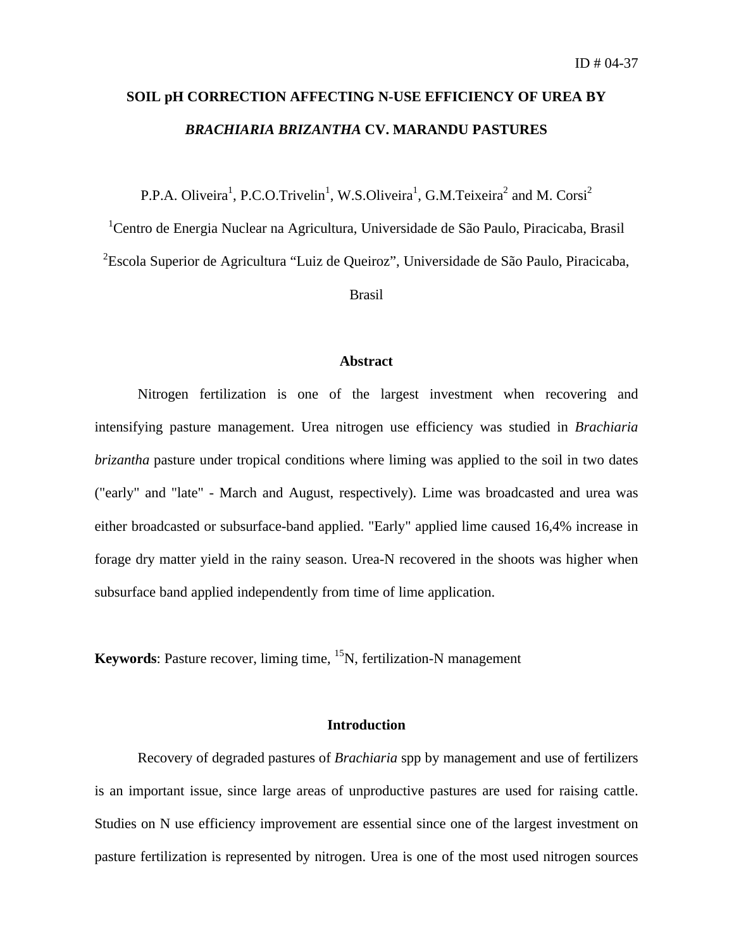# **SOIL pH CORRECTION AFFECTING N-USE EFFICIENCY OF UREA BY** *BRACHIARIA BRIZANTHA* **CV. MARANDU PASTURES**

P.P.A. Oliveira<sup>1</sup>, P.C.O.Trivelin<sup>1</sup>, W.S.Oliveira<sup>1</sup>, G.M.Teixeira<sup>2</sup> and M. Corsi<sup>2</sup>

<sup>1</sup>Centro de Energia Nuclear na Agricultura, Universidade de São Paulo, Piracicaba, Brasil

<sup>2</sup>Escola Superior de Agricultura "Luiz de Queiroz", Universidade de São Paulo, Piracicaba,

Brasil

### **Abstract**

Nitrogen fertilization is one of the largest investment when recovering and intensifying pasture management. Urea nitrogen use efficiency was studied in *Brachiaria brizantha* pasture under tropical conditions where liming was applied to the soil in two dates ("early" and "late" - March and August, respectively). Lime was broadcasted and urea was either broadcasted or subsurface-band applied. "Early" applied lime caused 16,4% increase in forage dry matter yield in the rainy season. Urea-N recovered in the shoots was higher when subsurface band applied independently from time of lime application.

**Keywords**: Pasture recover, liming time, <sup>15</sup>N, fertilization-N management

## **Introduction**

Recovery of degraded pastures of *Brachiaria* spp by management and use of fertilizers is an important issue, since large areas of unproductive pastures are used for raising cattle. Studies on N use efficiency improvement are essential since one of the largest investment on pasture fertilization is represented by nitrogen. Urea is one of the most used nitrogen sources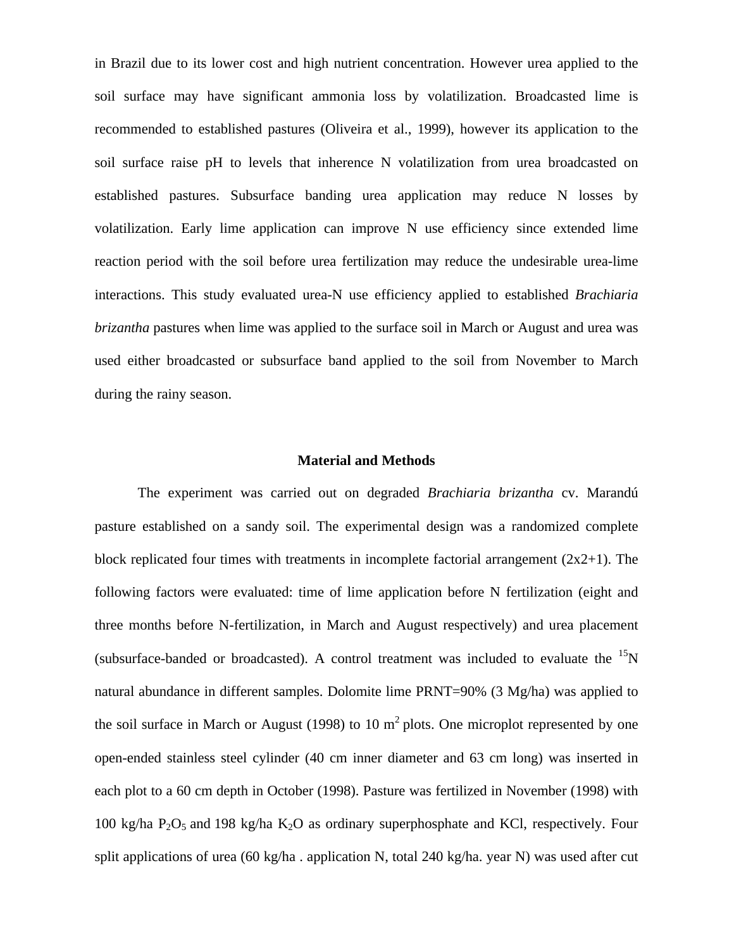in Brazil due to its lower cost and high nutrient concentration. However urea applied to the soil surface may have significant ammonia loss by volatilization. Broadcasted lime is recommended to established pastures (Oliveira et al., 1999), however its application to the soil surface raise pH to levels that inherence N volatilization from urea broadcasted on established pastures. Subsurface banding urea application may reduce N losses by volatilization. Early lime application can improve N use efficiency since extended lime reaction period with the soil before urea fertilization may reduce the undesirable urea-lime interactions. This study evaluated urea-N use efficiency applied to established *Brachiaria brizantha* pastures when lime was applied to the surface soil in March or August and urea was used either broadcasted or subsurface band applied to the soil from November to March during the rainy season.

## **Material and Methods**

The experiment was carried out on degraded *Brachiaria brizantha* cv. Marandú pasture established on a sandy soil. The experimental design was a randomized complete block replicated four times with treatments in incomplete factorial arrangement  $(2x2+1)$ . The following factors were evaluated: time of lime application before N fertilization (eight and three months before N-fertilization, in March and August respectively) and urea placement (subsurface-banded or broadcasted). A control treatment was included to evaluate the  $\rm{^{15}N}$ natural abundance in different samples. Dolomite lime PRNT=90% (3 Mg/ha) was applied to the soil surface in March or August (1998) to 10  $m<sup>2</sup>$  plots. One microplot represented by one open-ended stainless steel cylinder (40 cm inner diameter and 63 cm long) was inserted in each plot to a 60 cm depth in October (1998). Pasture was fertilized in November (1998) with 100 kg/ha  $P_2O_5$  and 198 kg/ha  $K_2O$  as ordinary superphosphate and KCl, respectively. Four split applications of urea (60 kg/ha . application N, total 240 kg/ha. year N) was used after cut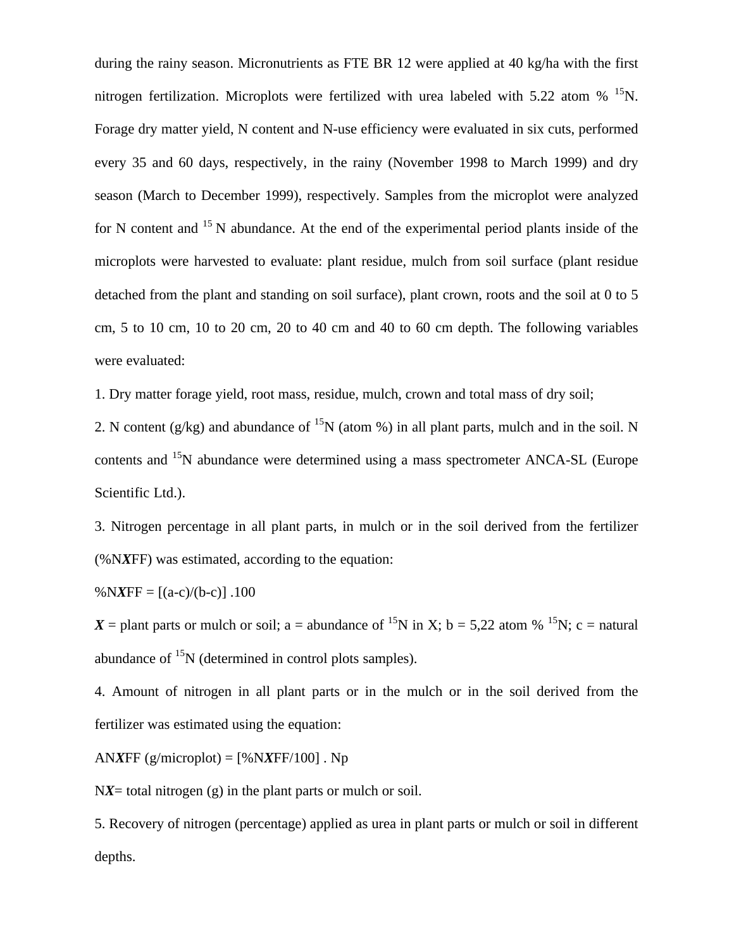during the rainy season. Micronutrients as FTE BR 12 were applied at 40 kg/ha with the first nitrogen fertilization. Microplots were fertilized with urea labeled with 5.22 atom % <sup>15</sup>N. Forage dry matter yield, N content and N-use efficiency were evaluated in six cuts, performed every 35 and 60 days, respectively, in the rainy (November 1998 to March 1999) and dry season (March to December 1999), respectively. Samples from the microplot were analyzed for N content and  $15$  N abundance. At the end of the experimental period plants inside of the microplots were harvested to evaluate: plant residue, mulch from soil surface (plant residue detached from the plant and standing on soil surface), plant crown, roots and the soil at 0 to 5 cm, 5 to 10 cm, 10 to 20 cm, 20 to 40 cm and 40 to 60 cm depth. The following variables were evaluated:

1. Dry matter forage yield, root mass, residue, mulch, crown and total mass of dry soil;

2. N content (g/kg) and abundance of <sup>15</sup>N (atom %) in all plant parts, mulch and in the soil. N contents and <sup>15</sup>N abundance were determined using a mass spectrometer ANCA-SL (Europe Scientific Ltd.).

3. Nitrogen percentage in all plant parts, in mulch or in the soil derived from the fertilizer (%N*X*FF) was estimated, according to the equation:

% $NXFF = [(a-c)/(b-c)]$ .100

 $X =$  plant parts or mulch or soil; a = abundance of <sup>15</sup>N in X; b = 5,22 atom % <sup>15</sup>N; c = natural abundance of  $^{15}N$  (determined in control plots samples).

4. Amount of nitrogen in all plant parts or in the mulch or in the soil derived from the fertilizer was estimated using the equation:

AN*XFF*  $(g/microplot) = [%N*XFF/100*]$ . Np

N*X*= total nitrogen (g) in the plant parts or mulch or soil.

5. Recovery of nitrogen (percentage) applied as urea in plant parts or mulch or soil in different depths.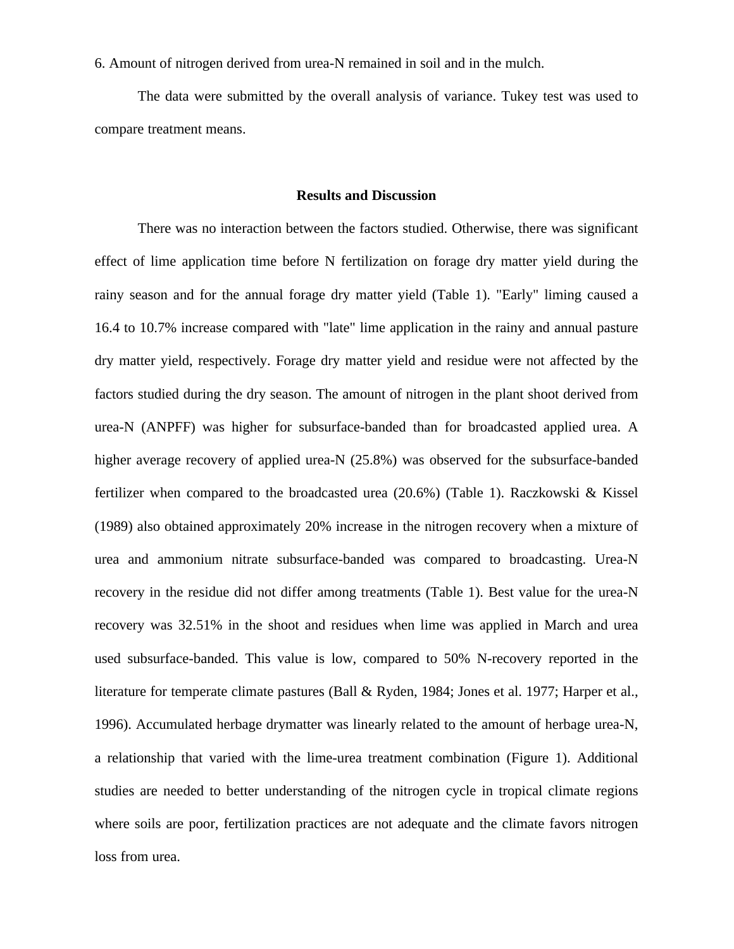6. Amount of nitrogen derived from urea-N remained in soil and in the mulch.

The data were submitted by the overall analysis of variance. Tukey test was used to compare treatment means.

#### **Results and Discussion**

There was no interaction between the factors studied. Otherwise, there was significant effect of lime application time before N fertilization on forage dry matter yield during the rainy season and for the annual forage dry matter yield (Table 1). "Early" liming caused a 16.4 to 10.7% increase compared with "late" lime application in the rainy and annual pasture dry matter yield, respectively. Forage dry matter yield and residue were not affected by the factors studied during the dry season. The amount of nitrogen in the plant shoot derived from urea-N (ANPFF) was higher for subsurface-banded than for broadcasted applied urea. A higher average recovery of applied urea-N (25.8%) was observed for the subsurface-banded fertilizer when compared to the broadcasted urea (20.6%) (Table 1). Raczkowski & Kissel (1989) also obtained approximately 20% increase in the nitrogen recovery when a mixture of urea and ammonium nitrate subsurface-banded was compared to broadcasting. Urea-N recovery in the residue did not differ among treatments (Table 1). Best value for the urea-N recovery was 32.51% in the shoot and residues when lime was applied in March and urea used subsurface-banded. This value is low, compared to 50% N-recovery reported in the literature for temperate climate pastures (Ball & Ryden, 1984; Jones et al. 1977; Harper et al., 1996). Accumulated herbage drymatter was linearly related to the amount of herbage urea-N, a relationship that varied with the lime-urea treatment combination (Figure 1). Additional studies are needed to better understanding of the nitrogen cycle in tropical climate regions where soils are poor, fertilization practices are not adequate and the climate favors nitrogen loss from urea.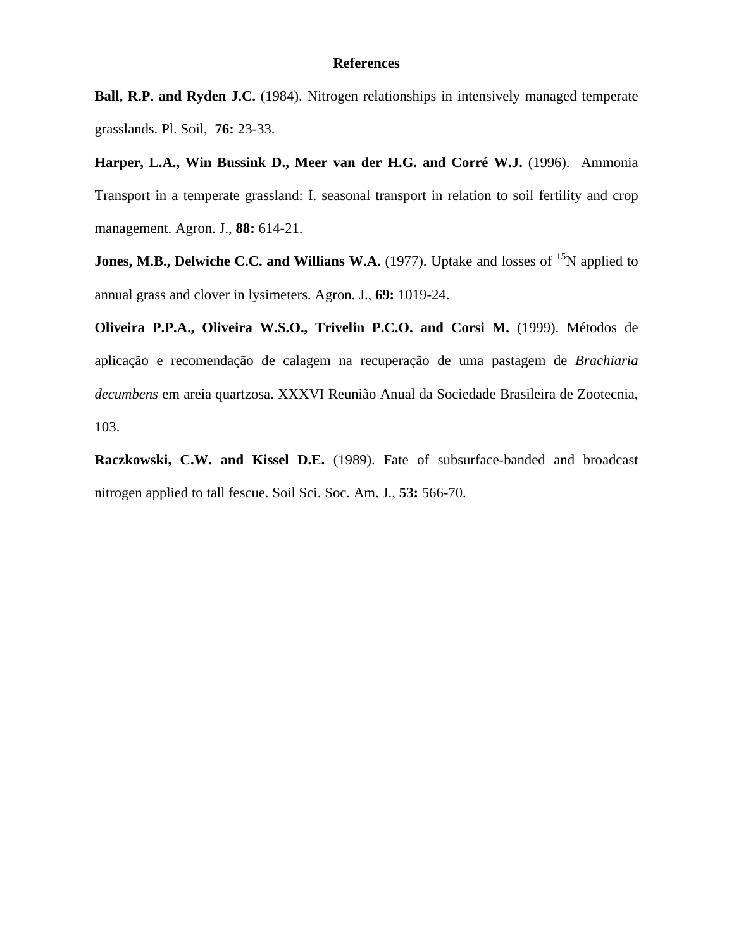#### **References**

**Ball, R.P. and Ryden J.C.** (1984). Nitrogen relationships in intensively managed temperate grasslands. Pl. Soil, **76:** 23-33.

**Harper, L.A., Win Bussink D., Meer van der H.G. and Corré W.J.** (1996). Ammonia Transport in a temperate grassland: I. seasonal transport in relation to soil fertility and crop management. Agron. J., **88:** 614-21.

**Jones, M.B., Delwiche C.C. and Willians W.A.** (1977). Uptake and losses of <sup>15</sup>N applied to annual grass and clover in lysimeters. Agron. J., **69:** 1019-24.

**Oliveira P.P.A., Oliveira W.S.O., Trivelin P.C.O. and Corsi M.** (1999). Métodos de aplicação e recomendação de calagem na recuperação de uma pastagem de *Brachiaria decumbens* em areia quartzosa. XXXVI Reunião Anual da Sociedade Brasileira de Zootecnia, 103.

**Raczkowski, C.W. and Kissel D.E.** (1989). Fate of subsurface-banded and broadcast nitrogen applied to tall fescue. Soil Sci. Soc. Am. J., **53:** 566-70.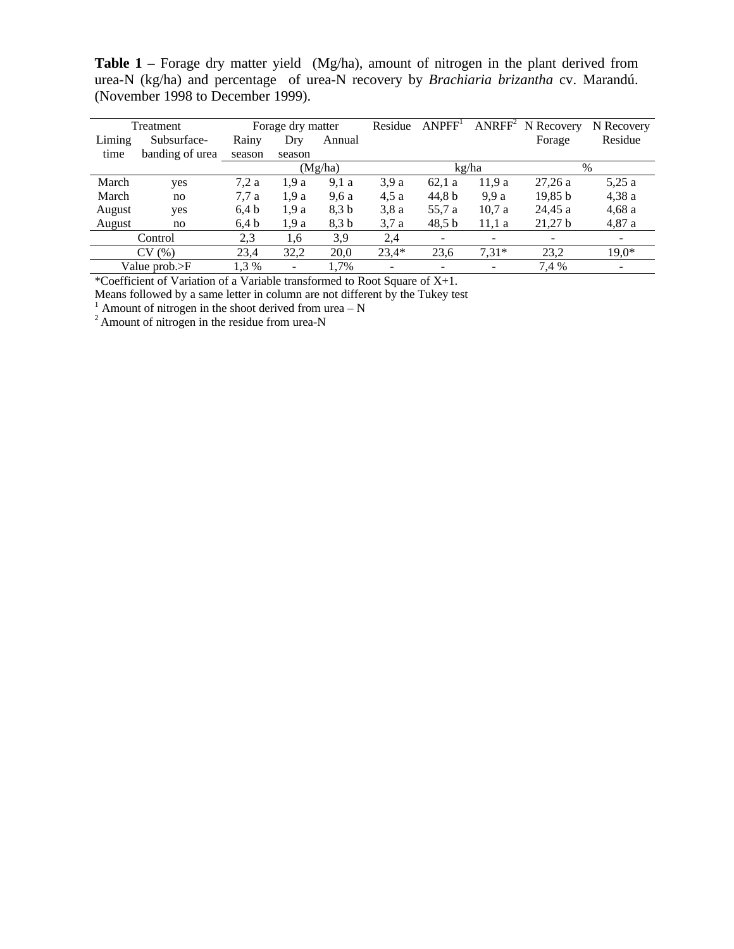**Table 1 –** Forage dry matter yield (Mg/ha), amount of nitrogen in the plant derived from urea-N (kg/ha) and percentage of urea-N recovery by *Brachiaria brizantha* cv. Marandú. (November 1998 to December 1999).

| Treatment     |                 | Forage dry matter |         |        | Residue | ANPFF <sup>1</sup> |         | $ANRFF2$ N Recovery | N Recovery |
|---------------|-----------------|-------------------|---------|--------|---------|--------------------|---------|---------------------|------------|
| Liming        | Subsurface-     | Rainy             | Dry     | Annual |         |                    |         | Forage              | Residue    |
| time          | banding of urea | season            | season  |        |         |                    |         |                     |            |
|               |                 |                   | (Mg/ha) |        |         | kg/ha              |         | $\%$                |            |
| March         | yes             | 7,2a              | 1.9a    | 9,1a   | 3.9a    | 62,1a              | 11,9a   | 27,26a              | 5,25a      |
| March         | no              | 7.7 a             | 1.9a    | 9.6a   | 4.5a    | 44.8 b             | 9.9 a   | 19,85 b             | 4,38a      |
| August        | yes             | 6.4 <sub>b</sub>  | 1.9a    | 8.3 b  | 3.8a    | 55,7 a             | 10.7a   | 24.45 a             | 4,68a      |
| August        | no              | 6,4 b             | 1,9a    | 8,3 b  | 3,7a    | 48.5 <sub>b</sub>  | 11,1a   | 21,27 b             | 4,87a      |
| Control       |                 | 2,3               | 1.6     | 3,9    | 2,4     | $\qquad \qquad -$  | ۰       |                     |            |
| CV(%)         |                 | 23,4              | 32,2    | 20,0   | $23,4*$ | 23,6               | $7,31*$ | 23,2                | $19,0*$    |
| Value prob.>F |                 | 1,3 %             | -       | 1,7%   |         |                    |         | 7,4 %               |            |

\*Coefficient of Variation of a Variable transformed to Root Square of X+1.

Means followed by a same letter in column are not different by the Tukey test

<sup>1</sup> Amount of nitrogen in the shoot derived from urea  $- N$ 

 $2$  Amount of nitrogen in the residue from urea-N